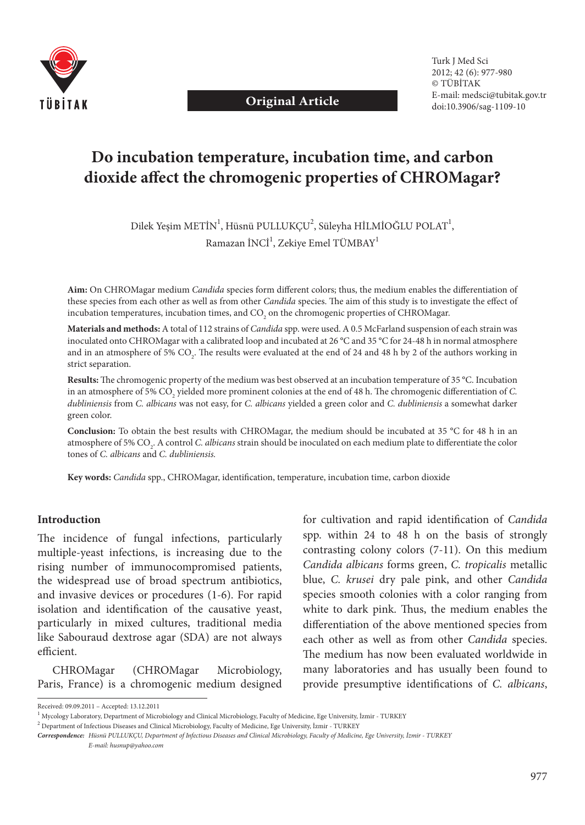

**Original Article**

# **Do incubation temperature, incubation time, and carbon**  dioxide affect the chromogenic properties of CHROMagar?

Dilek Yeşim METİN $^{\rm l}$ , Hüsnü PULLUKÇU $^{\rm 2}$ , Süleyha HİLMİOĞLU POLAT $^{\rm l}$ , Ramazan İNCİ $^1$ , Zekiye Emel TÜMBAY $^1$ 

Aim: On CHROMagar medium *Candida* species form different colors; thus, the medium enables the differentiation of these species from each other as well as from other *Candida* species. The aim of this study is to investigate the effect of incubation temperatures, incubation times, and CO<sub>2</sub> on the chromogenic properties of CHROMagar.

**Materials and methods:** A total of 112 strains of *Candida* spp. were used. A 0.5 McFarland suspension of each strain was inoculated onto CHROMagar with a calibrated loop and incubated at 26 °C and 35 °C for 24-48 h in normal atmosphere and in an atmosphere of 5%  $\text{CO}_2$ . The results were evaluated at the end of 24 and 48 h by 2 of the authors working in strict separation.

Results: The chromogenic property of the medium was best observed at an incubation temperature of 35 °C. Incubation in an atmosphere of 5%  $\mathrm{CO}_2$  yielded more prominent colonies at the end of 48 h. The chromogenic differentiation of  $C$ . *dubliniensis* from *C. albicans* was not easy, for *C. albicans* yielded a green color and *C. dubliniensis* a somewhat darker green color.

**Conclusion:** To obtain the best results with CHROMagar, the medium should be incubated at 35 °C for 48 h in an atmosphere of 5% CO<sub>2</sub>. A control *C. albicans* strain should be inoculated on each medium plate to differentiate the color tones of *C. albicans* and *C. dubliniensis.*

Key words: *Candida* spp., CHROMagar, identification, temperature, incubation time, carbon dioxide

#### **Introduction**

The incidence of fungal infections, particularly multiple-yeast infections, is increasing due to the rising number of immunocompromised patients, the widespread use of broad spectrum antibiotics, and invasive devices or procedures (1-6). For rapid isolation and identification of the causative yeast, particularly in mixed cultures, traditional media like Sabouraud dextrose agar (SDA) are not always efficient.

CHROMagar (CHROMagar Microbiology, Paris, France) is a chromogenic medium designed

for cultivation and rapid identification of *Candida* spp. within 24 to 48 h on the basis of strongly contrasting colony colors (7-11). On this medium *Candida albicans* forms green, *C. tropicalis* metallic blue, *C. krusei* dry pale pink, and other *Candida*  species smooth colonies with a color ranging from white to dark pink. Thus, the medium enables the differentiation of the above mentioned species from each other as well as from other *Candida* species. The medium has now been evaluated worldwide in many laboratories and has usually been found to provide presumptive identifications of *C. albicans*,

Received: 09.09.2011 – Accepted: 13.12.2011

<sup>&</sup>lt;sup>1</sup> Mycology Laboratory, Department of Microbiology and Clinical Microbiology, Faculty of Medicine, Ege University, İzmir - TURKEY

<sup>2</sup> Department of Infectious Diseases and Clinical Microbiology, Faculty of Medicine, Ege University, İzmir - TURKEY

*Correspondence: Hüsnü PULLUKÇU, Department of Infectious Diseases and Clinical Microbiology, Faculty of Medicine, Ege University, İzmir - TURKEY* 

*E-mail: husnup@yahoo.com*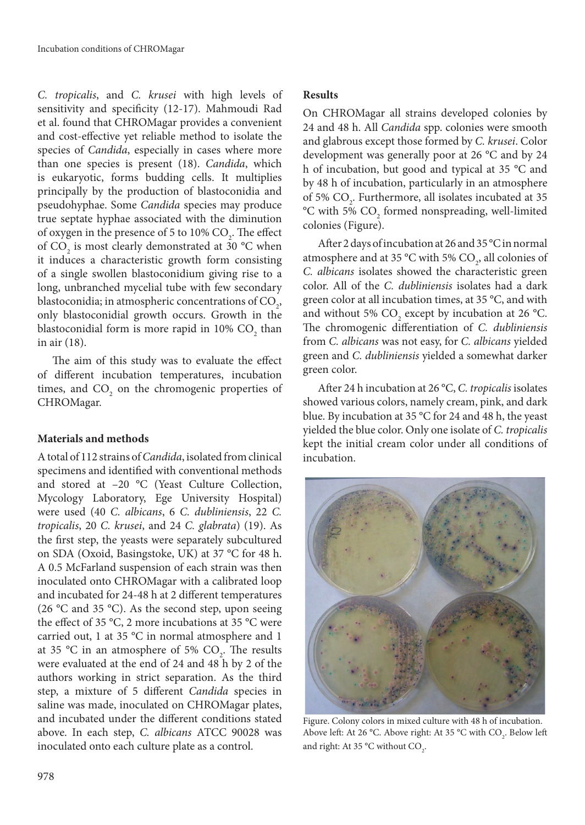*C. tropicalis*, and *C. krusei* with high levels of sensitivity and specificity (12-17). Mahmoudi Rad et al. found that CHROMagar provides a convenient and cost-effective yet reliable method to isolate the species of *Candida*, especially in cases where more than one species is present (18). *Candida*, which is eukaryotic, forms budding cells. It multiplies principally by the production of blastoconidia and pseudohyphae. Some *Candida* species may produce true septate hyphae associated with the diminution of oxygen in the presence of 5 to  $10\%$  CO<sub>2</sub>. The effect of  $CO_2$  is most clearly demonstrated at 30 °C when it induces a characteristic growth form consisting of a single swollen blastoconidium giving rise to a long, unbranched mycelial tube with few secondary blastoconidia; in atmospheric concentrations of  $\mathrm{CO}_2$ , only blastoconidial growth occurs. Growth in the blastoconidial form is more rapid in 10%  $\mathrm{CO}_2^{\phantom{\dag}}$  than in air (18).

The aim of this study was to evaluate the effect of different incubation temperatures, incubation times, and  $CO<sub>2</sub>$  on the chromogenic properties of CHROMagar.

## **Materials and methods**

A total of 112 strains of *Candida*, isolated from clinical specimens and identified with conventional methods and stored at –20 °C (Yeast Culture Collection, Mycology Laboratory, Ege University Hospital) were used (40 *C. albicans*, 6 *C. dubliniensis*, 22 *C. tropicalis*, 20 *C. krusei*, and 24 *C. glabrata*) (19). As the first step, the yeasts were separately subcultured on SDA (Oxoid, Basingstoke, UK) at 37 °C for 48 h. A 0.5 McFarland suspension of each strain was then inoculated onto CHROMagar with a calibrated loop and incubated for 24-48 h at 2 different temperatures (26 °C and 35 °C). As the second step, upon seeing the effect of 35 °C, 2 more incubations at 35 °C were carried out, 1 at 35 °C in normal atmosphere and 1 at 35 °C in an atmosphere of 5%  $CO<sub>2</sub>$ . The results were evaluated at the end of 24 and 48 h by 2 of the authors working in strict separation. As the third step, a mixture of 5 different *Candida* species in saline was made, inoculated on CHROMagar plates, and incubated under the different conditions stated above. In each step, *C. albicans* ATCC 90028 was inoculated onto each culture plate as a control.

## **Results**

On CHROMagar all strains developed colonies by 24 and 48 h. All *Candida* spp. colonies were smooth and glabrous except those formed by *C. krusei*. Color development was generally poor at 26 °C and by 24 h of incubation, but good and typical at 35 °C and by 48 h of incubation, particularly in an atmosphere of 5%  $CO<sub>2</sub>$ . Furthermore, all isolates incubated at 35  $\rm ^{o}C$  with 5%  $\rm CO_{2}$  formed nonspreading, well-limited colonies (Figure).

After 2 days of incubation at 26 and 35 °C in normal atmosphere and at 35 °C with 5%  $CO<sub>2</sub>$ , all colonies of *C. albicans* isolates showed the characteristic green color. All of the *C. dubliniensis* isolates had a dark green color at all incubation times, at 35 °C, and with and without 5%  $CO_2$  except by incubation at 26 °C. The chromogenic differentiation of *C. dubliniensis* from *C. albicans* was not easy, for *C. albicans* yielded green and *C. dubliniensis* yielded a somewhat darker green color.

After 24 h incubation at 26 °C, *C. tropicalis* isolates showed various colors, namely cream, pink, and dark blue. By incubation at 35 °C for 24 and 48 h, the yeast yielded the blue color. Only one isolate of *C. tropicalis*  kept the initial cream color under all conditions of incubation.



Figure. Colony colors in mixed culture with 48 h of incubation. Above left: At 26 °C. Above right: At 35 °C with  $\text{CO}_2$ . Below left and right: At 35 °C without  $CO_{2}$ .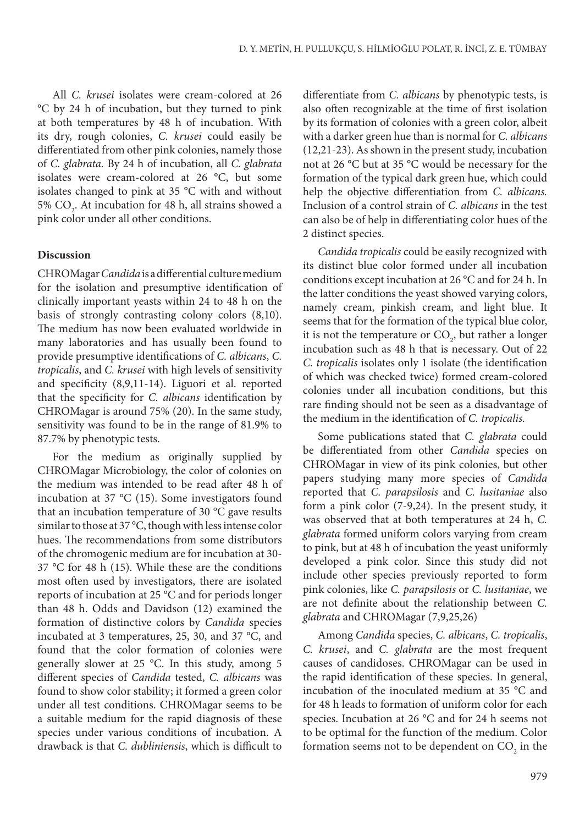All *C. krusei* isolates were cream-colored at 26 °C by 24 h of incubation, but they turned to pink at both temperatures by 48 h of incubation. With its dry, rough colonies, *C. krusei* could easily be differentiated from other pink colonies, namely those of *C. glabrata.* By 24 h of incubation, all *C. glabrata*  isolates were cream-colored at 26 °C, but some isolates changed to pink at 35 °C with and without 5%  $CO_2$ . At incubation for 48 h, all strains showed a pink color under all other conditions.

## **Discussion**

CHROMagar *Candida* is a differential culture medium for the isolation and presumptive identification of clinically important yeasts within 24 to 48 h on the basis of strongly contrasting colony colors (8,10). The medium has now been evaluated worldwide in many laboratories and has usually been found to provide presumptive identifications of *C. albicans*, *C. tropicalis*, and *C. krusei* with high levels of sensitivity and specificity  $(8,9,11-14)$ . Liguori et al. reported that the specificity for *C. albicans* identification by CHROMagar is around 75% (20). In the same study, sensitivity was found to be in the range of 81.9% to 87.7% by phenotypic tests.

For the medium as originally supplied by CHROMagar Microbiology, the color of colonies on the medium was intended to be read after 48 h of incubation at 37 °C (15). Some investigators found that an incubation temperature of 30 °C gave results similar to those at 37 °C, though with less intense color hues. The recommendations from some distributors of the chromogenic medium are for incubation at 30- 37 °C for 48 h (15). While these are the conditions most often used by investigators, there are isolated reports of incubation at 25 °C and for periods longer than 48 h. Odds and Davidson (12) examined the formation of distinctive colors by *Candida* species incubated at 3 temperatures, 25, 30, and 37 °C, and found that the color formation of colonies were generally slower at 25 °C. In this study, among 5 diff erent species of *Candida* tested, *C. albicans* was found to show color stability; it formed a green color under all test conditions. CHROMagar seems to be a suitable medium for the rapid diagnosis of these species under various conditions of incubation. A drawback is that *C. dubliniensis*, which is difficult to

differentiate from *C. albicans* by phenotypic tests, is also often recognizable at the time of first isolation by its formation of colonies with a green color, albeit with a darker green hue than is normal for *C. albicans*  (12,21-23). As shown in the present study, incubation not at 26 °C but at 35 °C would be necessary for the formation of the typical dark green hue, which could help the objective differentiation from *C. albicans*. Inclusion of a control strain of *C. albicans* in the test can also be of help in differentiating color hues of the 2 distinct species.

*Candida tropicalis* could be easily recognized with its distinct blue color formed under all incubation conditions except incubation at 26 °C and for 24 h. In the latter conditions the yeast showed varying colors, namely cream, pinkish cream, and light blue. It seems that for the formation of the typical blue color, it is not the temperature or  $\mathrm{CO}_2$ , but rather a longer incubation such as 48 h that is necessary. Out of 22 *C. tropicalis* isolates only 1 isolate (the identification of which was checked twice) formed cream-colored colonies under all incubation conditions, but this rare finding should not be seen as a disadvantage of the medium in the identification of *C. tropicalis*.

Some publications stated that *C. glabrata* could be differentiated from other *Candida* species on CHROMagar in view of its pink colonies, but other papers studying many more species of *Candida*  reported that *C. parapsilosis* and *C. lusitaniae* also form a pink color (7-9,24). In the present study, it was observed that at both temperatures at 24 h, *C. glabrata* formed uniform colors varying from cream to pink, but at 48 h of incubation the yeast uniformly developed a pink color. Since this study did not include other species previously reported to form pink colonies, like *C. parapsilosis* or *C. lusitaniae*, we are not definite about the relationship between *C*. *glabrata* and CHROMagar (7,9,25,26)

Among *Candida* species, *C. albicans*, *C. tropicalis*, *C. krusei*, and *C. glabrata* are the most frequent causes of candidoses. CHROMagar can be used in the rapid identification of these species. In general, incubation of the inoculated medium at 35 °C and for 48 h leads to formation of uniform color for each species. Incubation at 26 °C and for 24 h seems not to be optimal for the function of the medium. Color formation seems not to be dependent on  $\mathrm{CO}_2$  in the